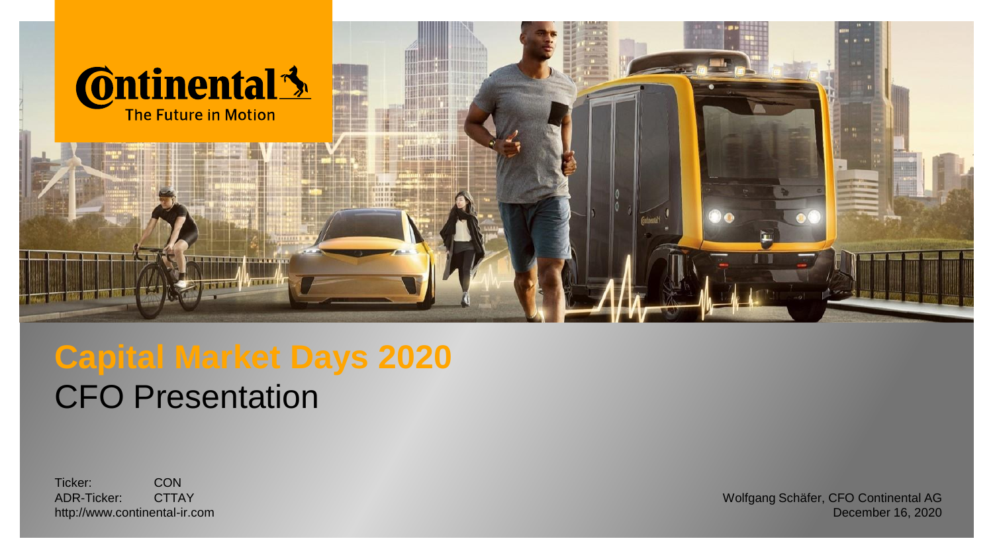

# **Capital Market Days 2020**

### CFO Presentation

Ticker: CON<br>ADR-Ticker: CTTAY ADR-Ticker: http://www.continental-ir.com

Wolfgang Schäfer, CFO Continental AG December 16, 2020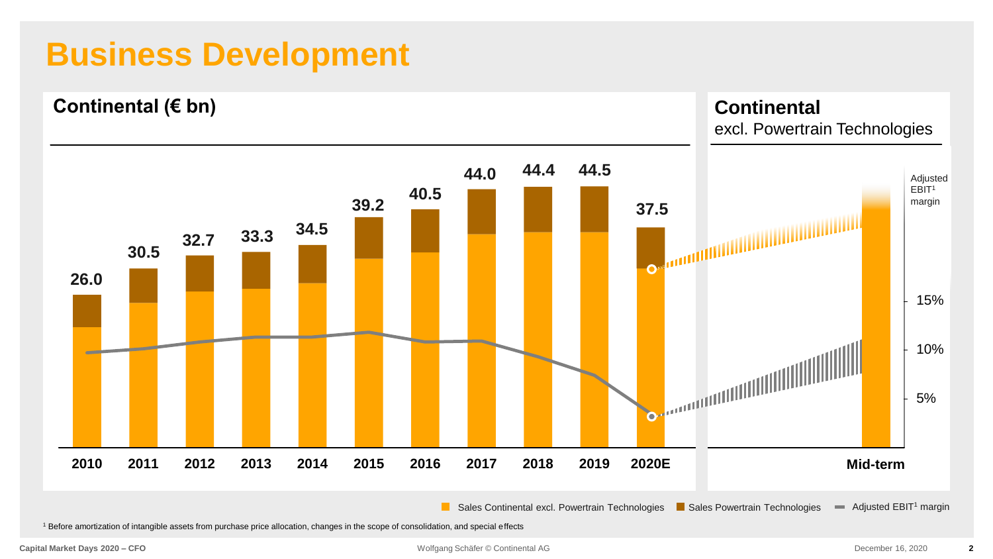# **Business Development**



<sup>1</sup> Before amortization of intangible assets from purchase price allocation, changes in the scope of consolidation, and special effects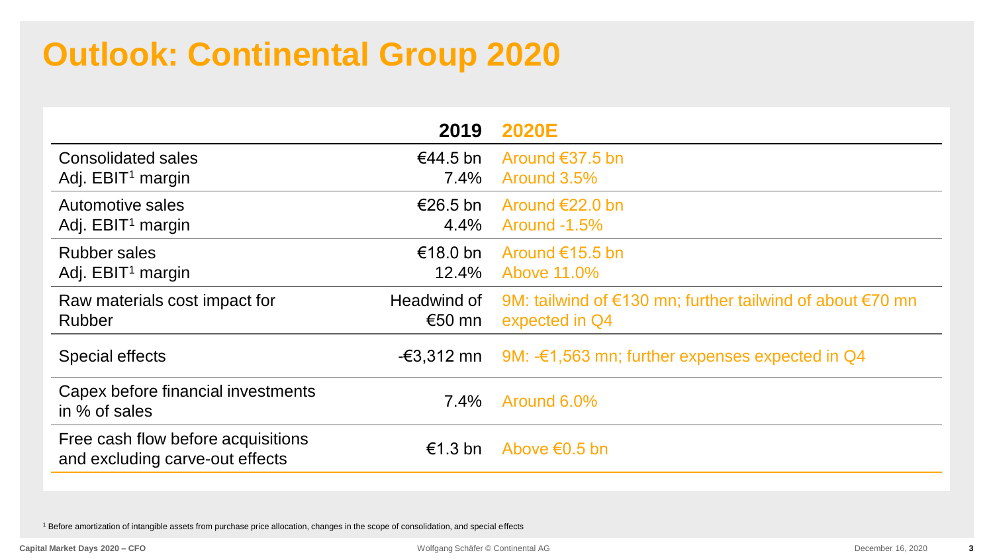# **Outlook: Continental Group 2020**

|                                                                       | 2019                  | <b>2020E</b>                                                                  |
|-----------------------------------------------------------------------|-----------------------|-------------------------------------------------------------------------------|
| <b>Consolidated sales</b><br>Adj. EBIT <sup>1</sup> margin            | €44.5 bn<br>7.4%      | Around $€37.5$ bn<br>Around 3.5%                                              |
| Automotive sales<br>Adj. $EBIT1$ margin                               | €26.5 bn<br>4.4%      | Around $\epsilon$ 22.0 bn<br><b>Around -1.5%</b>                              |
| Rubber sales<br>Adj. EBIT <sup>1</sup> margin                         | €18.0 bn<br>12.4%     | Around $€15.5$ bn<br>Above 11.0%                                              |
| Raw materials cost impact for<br>Rubber                               | Headwind of<br>€50 mn | 9M: tailwind of €130 mn; further tailwind of about $€70$ mn<br>expected in Q4 |
| Special effects                                                       | -€3,312 mn            | 9M: -€1,563 mn; further expenses expected in Q4                               |
| Capex before financial investments<br>in % of sales                   | 7.4%                  | Around 6.0%                                                                   |
| Free cash flow before acquisitions<br>and excluding carve-out effects | €1.3 bn               | Above $\epsilon$ 0.5 bn                                                       |
|                                                                       |                       |                                                                               |

<sup>1</sup> Before amortization of intangible assets from purchase price allocation, changes in the scope of consolidation, and special effects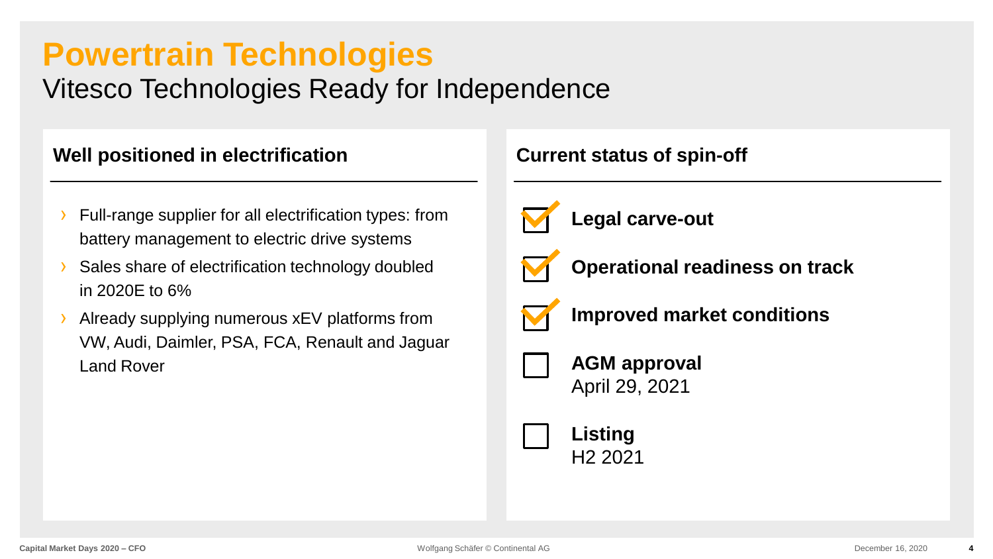# **Powertrain Technologies**

#### Vitesco Technologies Ready for Independence

#### **Well positioned in electrification Current status of spin-off**

- Full-range supplier for all electrification types: from battery management to electric drive systems
- Sales share of electrification technology doubled in 2020E to 6%
- Already supplying numerous xEV platforms from VW, Audi, Daimler, PSA, FCA, Renault and Jaguar Land Rover



#### **Legal carve-out**



**Operational readiness on track**



- **Improved market conditions**
- **AGM approval** April 29, 2021



**Listing** H2 2021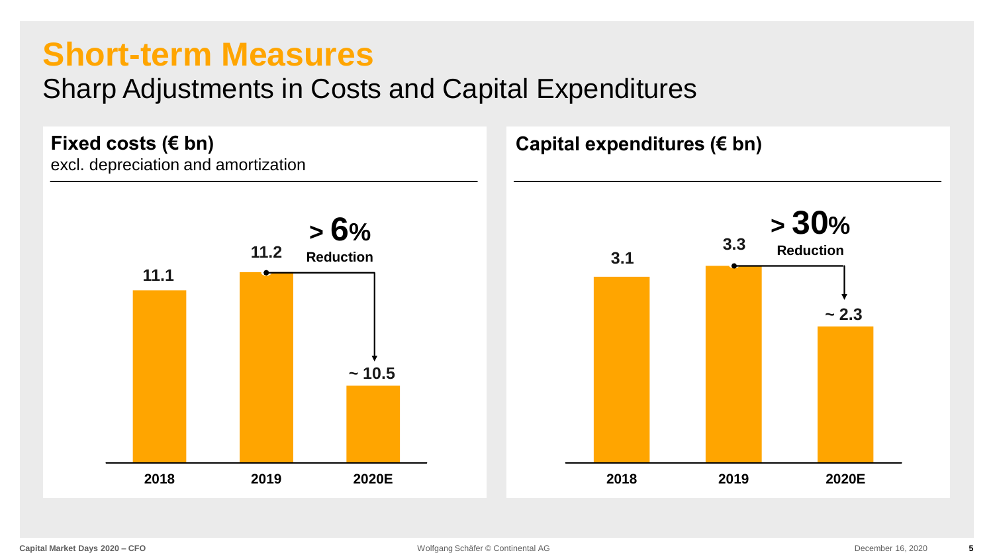# **Short-term Measures**

#### Sharp Adjustments in Costs and Capital Expenditures

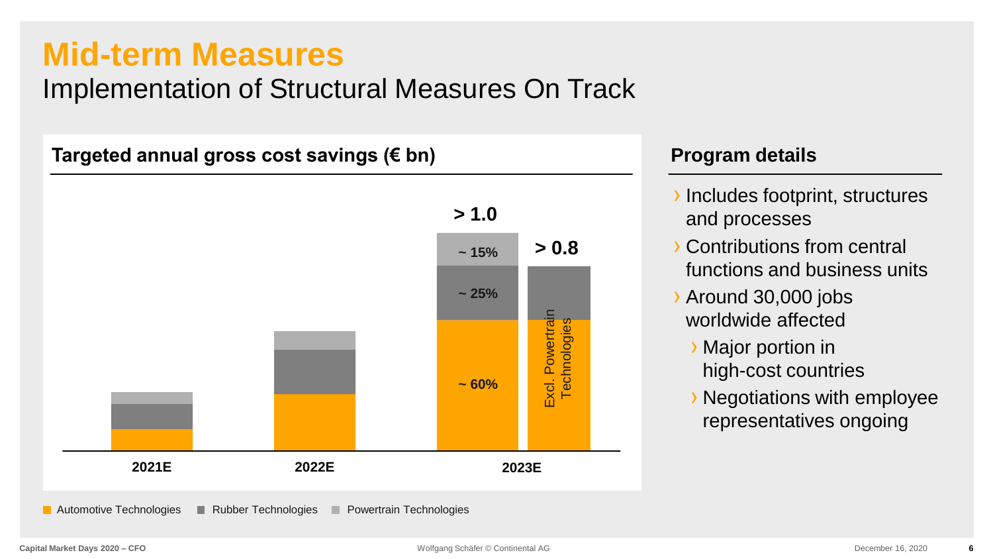# **Mid-term Measures**

#### Implementation of Structural Measures On Track



- › Includes footprint, structures and processes
- › Contributions from central functions and business units
- › Around 30,000 jobs worldwide affected
	- › Major portion in high-cost countries
	- › Negotiations with employee representatives ongoing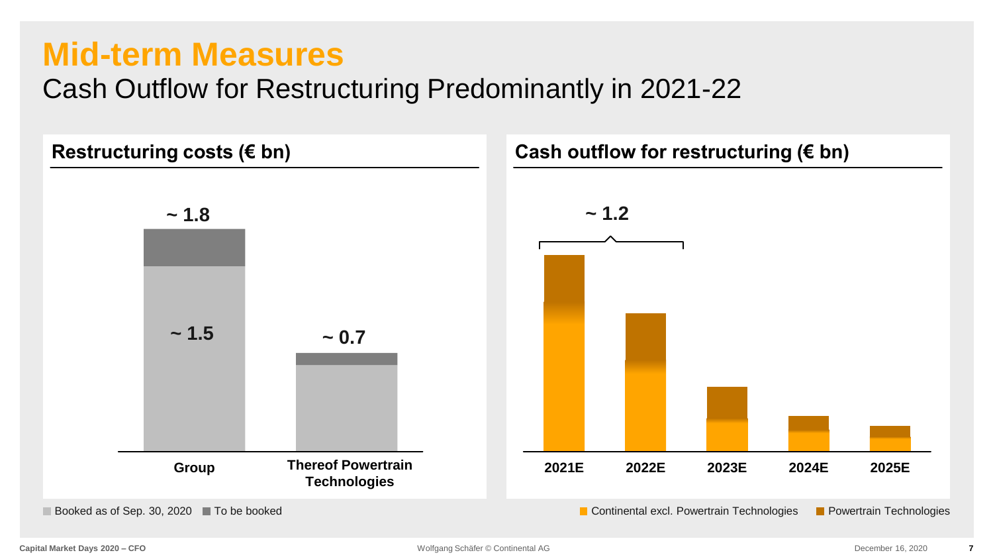#### **Mid-term Measures**

#### Cash Outflow for Restructuring Predominantly in 2021-22

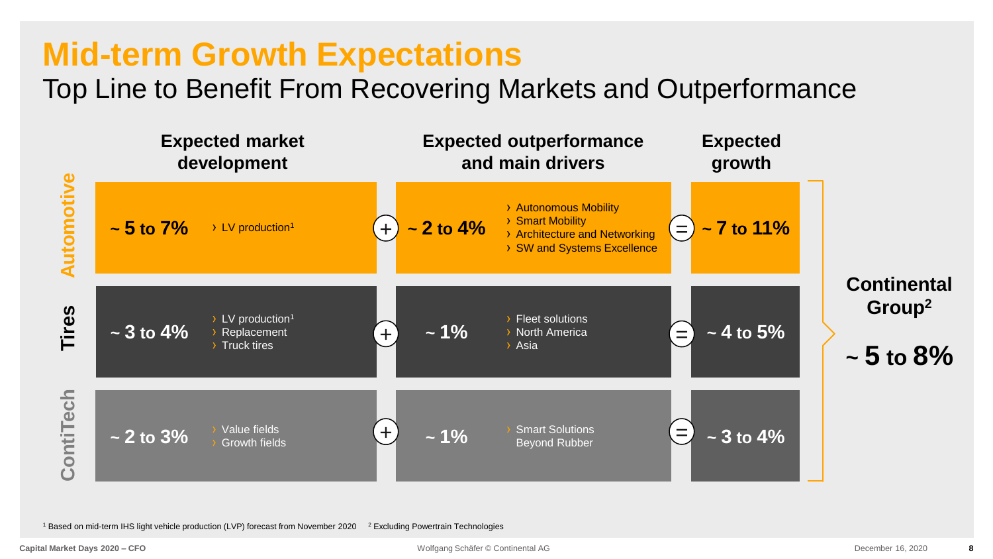# **Mid-term Growth Expectations**

Top Line to Benefit From Recovering Markets and Outperformance

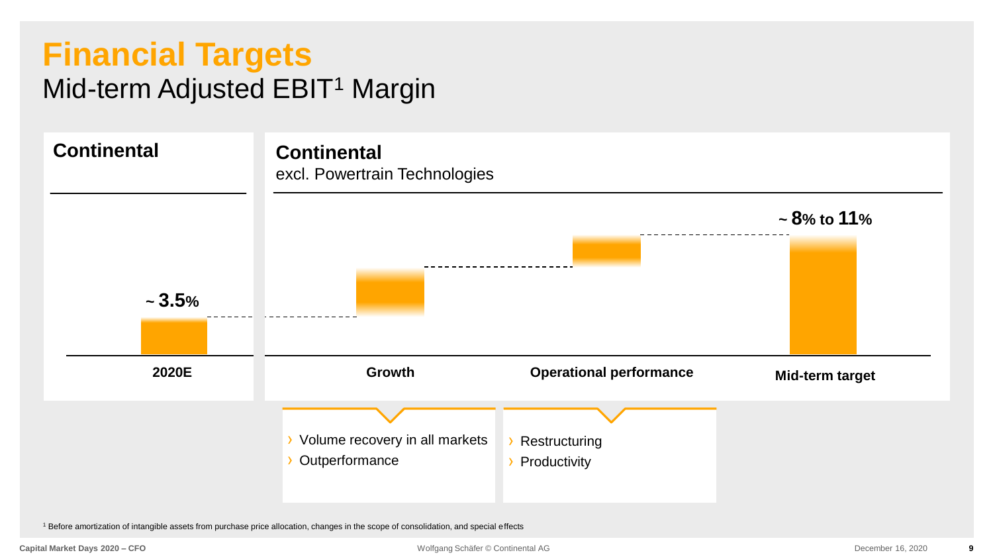#### **Financial Targets** Mid-term Adjusted EBIT<sup>1</sup> Margin



<sup>1</sup> Before amortization of intangible assets from purchase price allocation, changes in the scope of consolidation, and special effects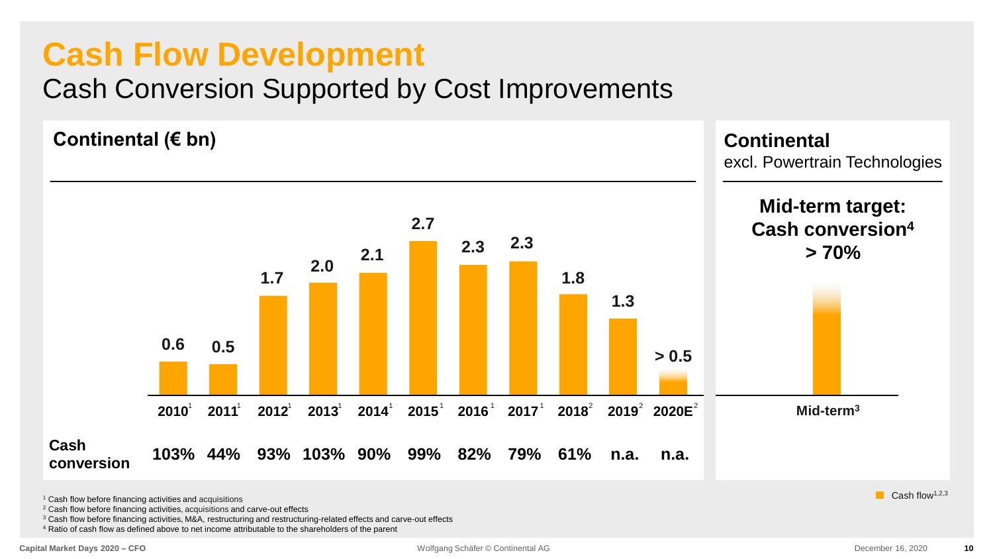### **Cash Flow Development**

#### Cash Conversion Supported by Cost Improvements

**2010 2011 2012 2013 2014 2015 2016 2017 2018 2019 2020E** <sup>1</sup> <sup>1</sup> <sup>1</sup> <sup>1</sup> <sup>1</sup> <sup>1</sup> <sup>1</sup> <sup>1</sup> <sup>2</sup> <sup>2</sup> <sup>2</sup> **Mid-term<sup>3</sup> Mid-term target: Cash conversion<sup>4</sup> > 70% > 0.5 103% 44% 93% 103% 90% 99% 82% 79% 61% n.a. n.a. Cash conversion Continental (€ bn) Continental**  excl. Powertrain Technologies **0.6 0.5 1.7 2.0 2.1 2.7 2.3 2.3 1.8 1.3**

<sup>1</sup> Cash flow before financing activities and acquisitions

<sup>2</sup> Cash flow before financing activities, acquisitions and carve-out effects

<sup>3</sup> Cash flow before financing activities, M&A, restructuring and restructuring-related effects and carve-out effects

<sup>4</sup> Ratio of cash flow as defined above to net income attributable to the shareholders of the parent

 $\Box$  Cash flow<sup>1,2,3</sup>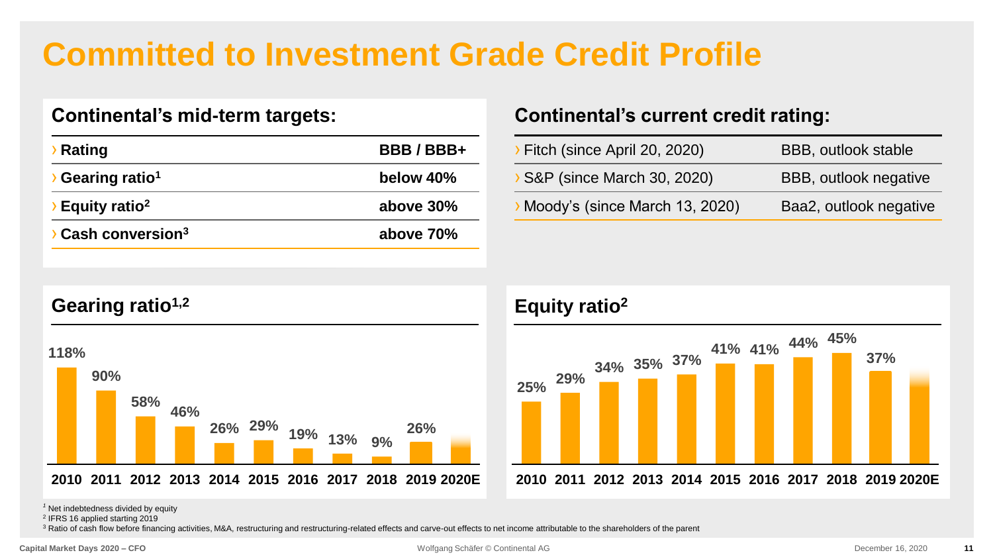# **Committed to Investment Grade Credit Profile**

#### **Continental's mid-term targets:**

| below 40% |
|-----------|
| above 30% |
| above 70% |
|           |

**26% 29% 19% 13% 9%**

**2010 2011 2012 2013 2014 2015 2016 2017 2018 2019 2020E**

#### **Continental's current credit rating:**

| Fitch (since April 20, 2020)   | <b>BBB, outlook stable</b> |
|--------------------------------|----------------------------|
| S&P (since March 30, 2020)     | BBB, outlook negative      |
| Moody's (since March 13, 2020) | Baa2, outlook negative     |





*<sup>1</sup>* Net indebtedness divided by equity

2 IFRS 16 applied starting 2019

3 Ratio of cash flow before financing activities, M&A, restructuring and restructuring-related effects and carve-out effects to net income attributable to the shareholders of the parent

**26%**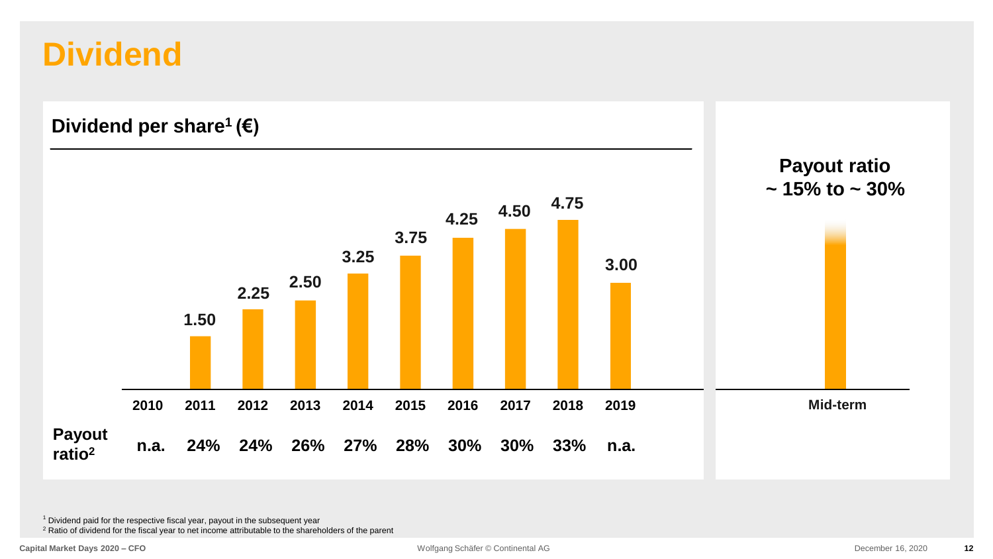#### **Dividend**



 $1$  Dividend paid for the respective fiscal year, payout in the subsequent year

<sup>2</sup> Ratio of dividend for the fiscal year to net income attributable to the shareholders of the parent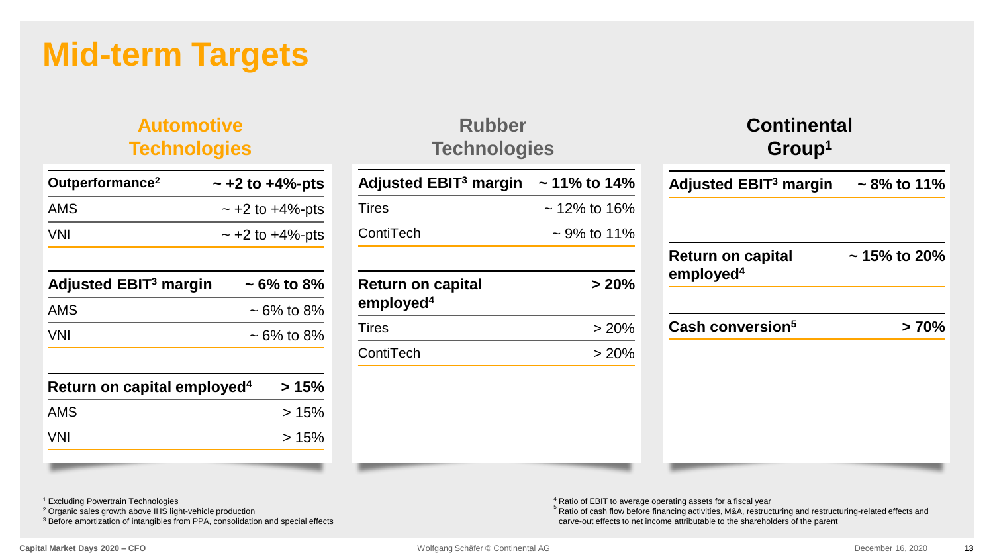# **Mid-term Targets**

#### **Automotive Technologies**

| $\sim$ +2 to +4%-pts                             |  |
|--------------------------------------------------|--|
| $\sim$ +2 to +4%-pts                             |  |
| $\sim$ +2 to +4%-pts                             |  |
| Adjusted EBIT <sup>3</sup> margin<br>~ 6% to 8%  |  |
| ~ 6% to 8%                                       |  |
| $\sim$ 6% to 8%                                  |  |
| Return on capital employed <sup>4</sup><br>> 15% |  |
| > 15%                                            |  |
| > 15%                                            |  |
|                                                  |  |

#### **Rubber Technologies Adjusted EBIT<sup>3</sup> margin ~ 11% to 14%** Tires  $\sim 12\%$  to 16% ContiTech  $\sim$  9% to 11%

| <b>Return on capital</b><br>employed <sup>4</sup> | > 20% |
|---------------------------------------------------|-------|
| Tires                                             | >20%  |
| ContiTech                                         | > 20% |

#### **Continental Group<sup>1</sup>**

| Adjusted EBIT <sup>3</sup> margin                 | $\sim$ 8% to 11%  |
|---------------------------------------------------|-------------------|
| <b>Return on capital</b><br>emploved <sup>4</sup> | $\sim$ 15% to 20% |
| Cash conversion <sup>5</sup>                      | $>70\%$           |

<sup>1</sup> Excluding Powertrain Technologies

<sup>2</sup> Organic sales growth above IHS light-vehicle production

<sup>3</sup> Before amortization of intangibles from PPA, consolidation and special effects

**Capital Market Days 2020 – CFO** Wolfgang Schäfer © Continental AG December 16, 2020 **13**

<sup>4</sup> Ratio of EBIT to average operating assets for a fiscal year

carve-out effects to net income attributable to the shareholders of the parent

<sup>5</sup> Ratio of cash flow before financing activities, M&A, restructuring and restructuring-related effects and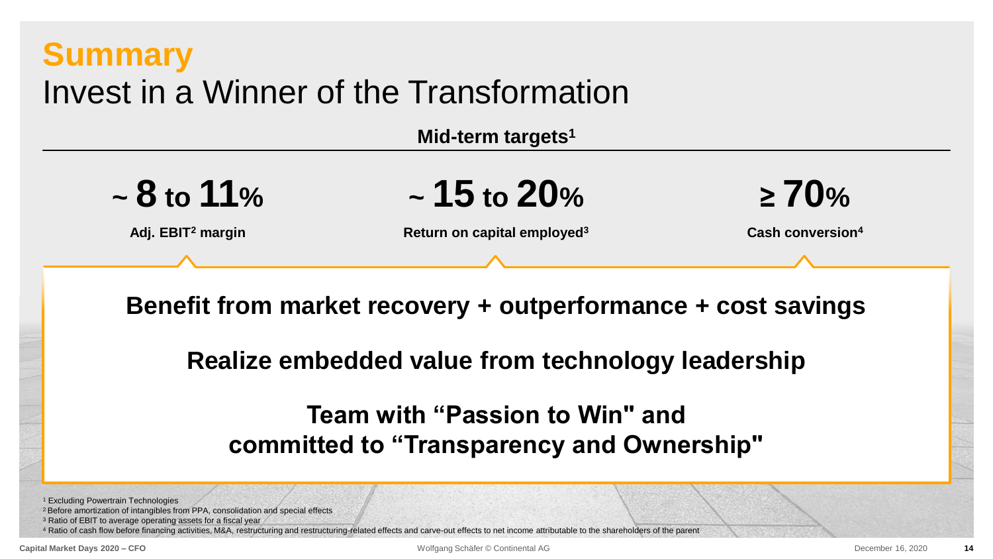#### **Summary** Invest in a Winner of the Transformation

**Mid-term targets<sup>1</sup>**



**Benefit from market recovery + outperformance + cost savings**

**Realize embedded value from technology leadership**

#### **Team with "Passion to Win" and committed to "Transparency and Ownership"**

<sup>1</sup> Excluding Powertrain Technologies

<sup>2</sup>Before amortization of intangibles from PPA, consolidation and special effects

<sup>3</sup> Ratio of EBIT to average operating assets for a fiscal year

<sup>4</sup> Ratio of cash flow before financing activities, M&A, restructuring and restructuring-related effects and carve-out effects to net income attributable to the shareholders of the parent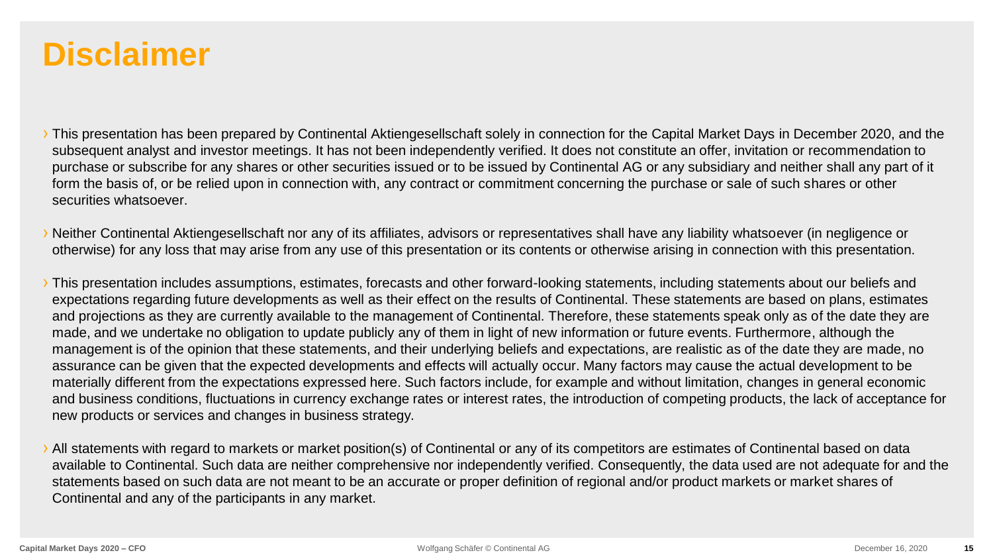### **Disclaimer**

- › This presentation has been prepared by Continental Aktiengesellschaft solely in connection for the Capital Market Days in December 2020, and the subsequent analyst and investor meetings. It has not been independently verified. It does not constitute an offer, invitation or recommendation to purchase or subscribe for any shares or other securities issued or to be issued by Continental AG or any subsidiary and neither shall any part of it form the basis of, or be relied upon in connection with, any contract or commitment concerning the purchase or sale of such shares or other securities whatsoever.
- › Neither Continental Aktiengesellschaft nor any of its affiliates, advisors or representatives shall have any liability whatsoever (in negligence or otherwise) for any loss that may arise from any use of this presentation or its contents or otherwise arising in connection with this presentation.
- › This presentation includes assumptions, estimates, forecasts and other forward-looking statements, including statements about our beliefs and expectations regarding future developments as well as their effect on the results of Continental. These statements are based on plans, estimates and projections as they are currently available to the management of Continental. Therefore, these statements speak only as of the date they are made, and we undertake no obligation to update publicly any of them in light of new information or future events. Furthermore, although the management is of the opinion that these statements, and their underlying beliefs and expectations, are realistic as of the date they are made, no assurance can be given that the expected developments and effects will actually occur. Many factors may cause the actual development to be materially different from the expectations expressed here. Such factors include, for example and without limitation, changes in general economic and business conditions, fluctuations in currency exchange rates or interest rates, the introduction of competing products, the lack of acceptance for new products or services and changes in business strategy.
- › All statements with regard to markets or market position(s) of Continental or any of its competitors are estimates of Continental based on data available to Continental. Such data are neither comprehensive nor independently verified. Consequently, the data used are not adequate for and the statements based on such data are not meant to be an accurate or proper definition of regional and/or product markets or market shares of Continental and any of the participants in any market.